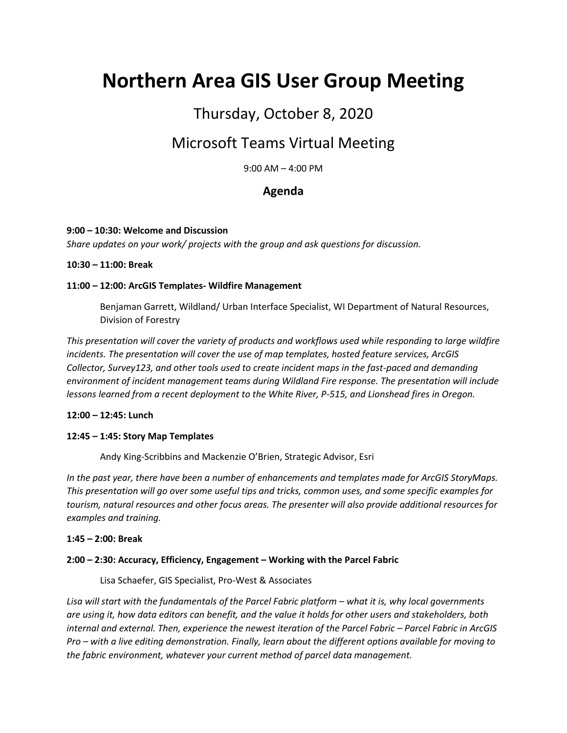# **Northern Area GIS User Group Meeting**

# Thursday, October 8, 2020

# Microsoft Teams Virtual Meeting

9:00 AM – 4:00 PM

# **Agenda**

#### **9:00 – 10:30: Welcome and Discussion**

*Share updates on your work/ projects with the group and ask questions for discussion.*

#### **10:30 – 11:00: Break**

#### **11:00 – 12:00: ArcGIS Templates- Wildfire Management**

Benjaman Garrett, Wildland/ Urban Interface Specialist, WI Department of Natural Resources, Division of Forestry

*This presentation will cover the variety of products and workflows used while responding to large wildfire incidents. The presentation will cover the use of map templates, hosted feature services, ArcGIS Collector, Survey123, and other tools used to create incident maps in the fast-paced and demanding environment of incident management teams during Wildland Fire response. The presentation will include lessons learned from a recent deployment to the White River, P-515, and Lionshead fires in Oregon.*

#### **12:00 – 12:45: Lunch**

#### **12:45 – 1:45: Story Map Templates**

Andy King-Scribbins and Mackenzie O'Brien, Strategic Advisor, Esri

*In the past year, there have been a number of enhancements and templates made for ArcGIS StoryMaps. This presentation will go over some useful tips and tricks, common uses, and some specific examples for tourism, natural resources and other focus areas. The presenter will also provide additional resources for examples and training.*

#### **1:45 – 2:00: Break**

#### **2:00 – 2:30: Accuracy, Efficiency, Engagement – Working with the Parcel Fabric**

Lisa Schaefer, GIS Specialist, Pro-West & Associates

Lisa will start with the fundamentals of the Parcel Fabric platform – what it is, why local governments *are using it, how data editors can benefit, and the value it holds for other users and stakeholders, both internal and external. Then, experience the newest iteration of the Parcel Fabric – Parcel Fabric in ArcGIS Pro – with a live editing demonstration. Finally, learn about the different options available for moving to the fabric environment, whatever your current method of parcel data management.*